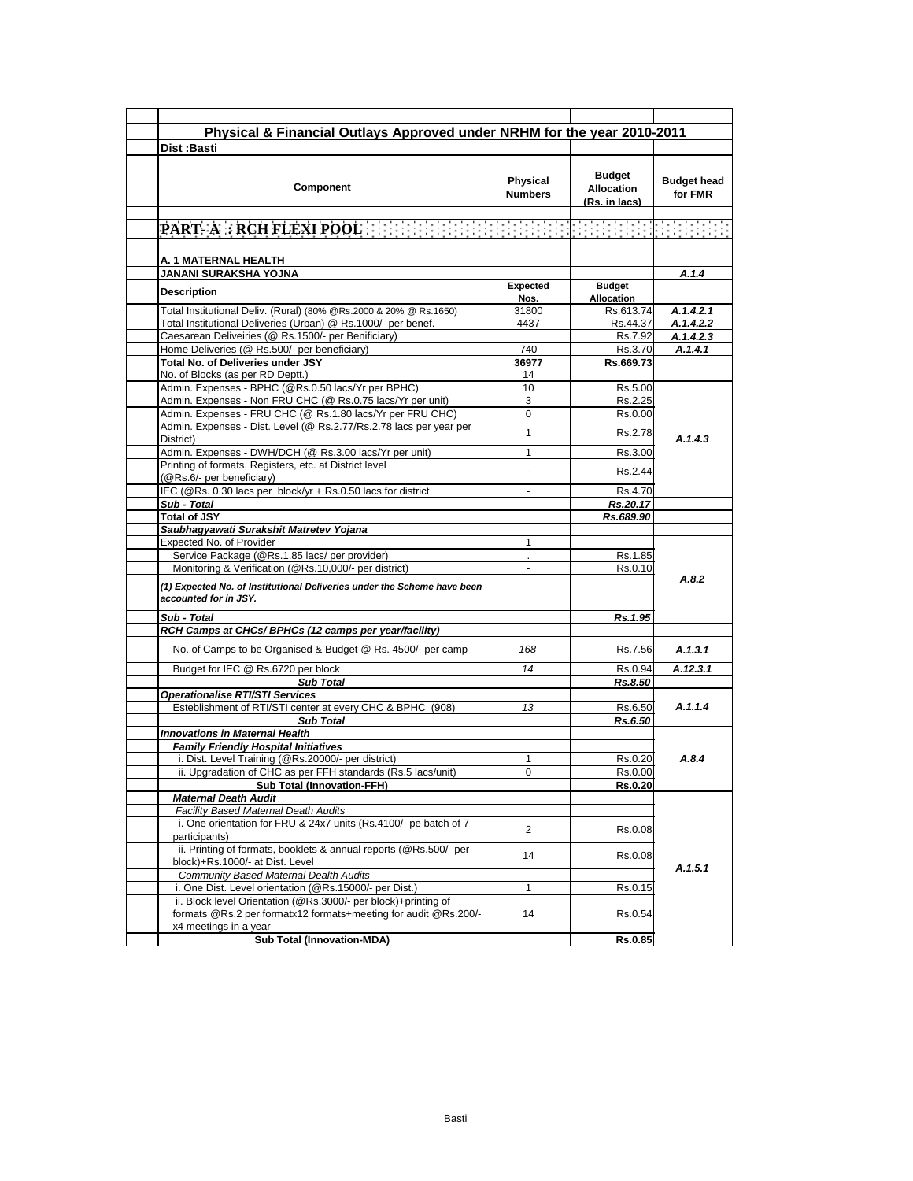| Physical & Financial Outlays Approved under NRHM for the year 2010-2011                                                  |                  |                                    |                    |
|--------------------------------------------------------------------------------------------------------------------------|------------------|------------------------------------|--------------------|
| Dist:Basti                                                                                                               |                  |                                    |                    |
|                                                                                                                          |                  |                                    |                    |
| Component                                                                                                                | Physical         | <b>Budget</b><br><b>Allocation</b> | <b>Budget head</b> |
|                                                                                                                          | <b>Numbers</b>   | (Rs. in lacs)                      | for FMR            |
| PART A RECHPLEXIPOOL ENERGY TO THE CONSISTENT OF THE CONSIST                                                             |                  |                                    |                    |
|                                                                                                                          |                  |                                    |                    |
| A. 1 MATERNAL HEALTH                                                                                                     |                  |                                    |                    |
| JANANI SURAKSHA YOJNA                                                                                                    |                  |                                    | A.1.4              |
| <b>Description</b>                                                                                                       | Expected<br>Nos. | <b>Budget</b><br>Allocation        |                    |
| Total Institutional Deliv. (Rural) (80% @Rs.2000 & 20% @ Rs.1650)                                                        | 31800            | Rs.613.74                          | A.1.4.2.1          |
| Total Institutional Deliveries (Urban) @ Rs.1000/- per benef.                                                            | 4437             | Rs.44.37                           | A.1.4.2.2          |
| Caesarean Deliveiries (@ Rs.1500/- per Benificiary)                                                                      |                  | Rs.7.92                            | A.1.4.2.3          |
| Home Deliveries (@ Rs.500/- per beneficiary)                                                                             | 740              | Rs.3.70                            | A.1.4.1            |
| Total No. of Deliveries under JSY                                                                                        | 36977            | Rs.669.73                          |                    |
| No. of Blocks (as per RD Deptt.)                                                                                         | 14               |                                    |                    |
| Admin. Expenses - BPHC (@Rs.0.50 lacs/Yr per BPHC)                                                                       | 10               | Rs.5.00                            |                    |
| Admin. Expenses - Non FRU CHC (@ Rs.0.75 lacs/Yr per unit)                                                               | 3                | Rs.2.25                            |                    |
| Admin. Expenses - FRU CHC (@ Rs.1.80 lacs/Yr per FRU CHC)                                                                | 0                | Rs.0.00                            |                    |
| Admin. Expenses - Dist. Level (@ Rs.2.77/Rs.2.78 lacs per year per<br>District)                                          | $\mathbf{1}$     | Rs.2.78                            | A.1.4.3            |
| Admin. Expenses - DWH/DCH (@ Rs.3.00 lacs/Yr per unit)                                                                   | 1                | Rs.3.00                            |                    |
| Printing of formats, Registers, etc. at District level<br>(@Rs.6/- per beneficiary)                                      |                  | Rs.2.44                            |                    |
| IEC (@Rs. 0.30 lacs per block/yr + Rs.0.50 lacs for district                                                             |                  | Rs.4.70                            |                    |
| Sub - Total                                                                                                              |                  | Rs.20.17                           |                    |
| <b>Total of JSY</b>                                                                                                      |                  | Rs.689.90                          |                    |
| Saubhagyawati Surakshit Matretev Yojana                                                                                  |                  |                                    |                    |
| Expected No. of Provider                                                                                                 | 1                |                                    |                    |
| Service Package (@Rs.1.85 lacs/ per provider)                                                                            |                  | Rs.1.85                            |                    |
| Monitoring & Verification (@Rs.10,000/- per district)                                                                    | $\blacksquare$   | Rs.0.10                            | A.8.2              |
| (1) Expected No. of Institutional Deliveries under the Scheme have been<br>accounted for in JSY.                         |                  |                                    |                    |
| Sub - Total                                                                                                              |                  | Rs.1.95                            |                    |
| RCH Camps at CHCs/ BPHCs (12 camps per year/facility)                                                                    |                  |                                    |                    |
| No. of Camps to be Organised & Budget @ Rs. 4500/- per camp                                                              | 168              | Rs.7.56                            | A.1.3.1            |
| Budget for IEC @ Rs.6720 per block                                                                                       | 14               | Rs.0.94                            | A.12.3.1           |
| <b>Sub Total</b>                                                                                                         |                  | Rs.8.50                            |                    |
| <b>Operationalise RTI/STI Services</b>                                                                                   |                  |                                    |                    |
| Esteblishment of RTI/STI center at every CHC & BPHC (908)                                                                | 13               | Rs.6.50                            | A.1.1.4            |
| <b>Sub Total</b>                                                                                                         |                  | Rs.6.50                            |                    |
| <b>Innovations in Maternal Health</b>                                                                                    |                  |                                    |                    |
| <b>Family Friendly Hospital Initiatives</b>                                                                              |                  |                                    |                    |
| i. Dist. Level Training (@Rs.20000/- per district)                                                                       | 1                | Rs.0.20                            | A.8.4              |
| ii. Upgradation of CHC as per FFH standards (Rs.5 lacs/unit)                                                             | 0                | Rs.0.00                            |                    |
| <b>Sub Total (Innovation-FFH)</b>                                                                                        |                  | <b>Rs.0.20</b>                     |                    |
| <b>Maternal Death Audit</b>                                                                                              |                  |                                    |                    |
| <b>Facility Based Maternal Death Audits</b>                                                                              |                  |                                    |                    |
| i. One orientation for FRU & 24x7 units (Rs.4100/- pe batch of 7<br>participants)                                        | $\overline{2}$   | Rs.0.08                            |                    |
| ii. Printing of formats, booklets & annual reports (@Rs.500/- per<br>block)+Rs.1000/- at Dist. Level                     | 14               | Rs.0.08                            | A.1.5.1            |
| Community Based Maternal Dealth Audits                                                                                   |                  |                                    |                    |
| i. One Dist. Level orientation (@Rs.15000/- per Dist.)<br>ii. Block level Orientation (@Rs.3000/- per block)+printing of | 1                | Rs.0.15                            |                    |
| formats @Rs.2 per formatx12 formats+meeting for audit @Rs.200/-<br>x4 meetings in a year                                 | 14               | Rs.0.54                            |                    |
| <b>Sub Total (Innovation-MDA)</b>                                                                                        |                  | Rs.0.85                            |                    |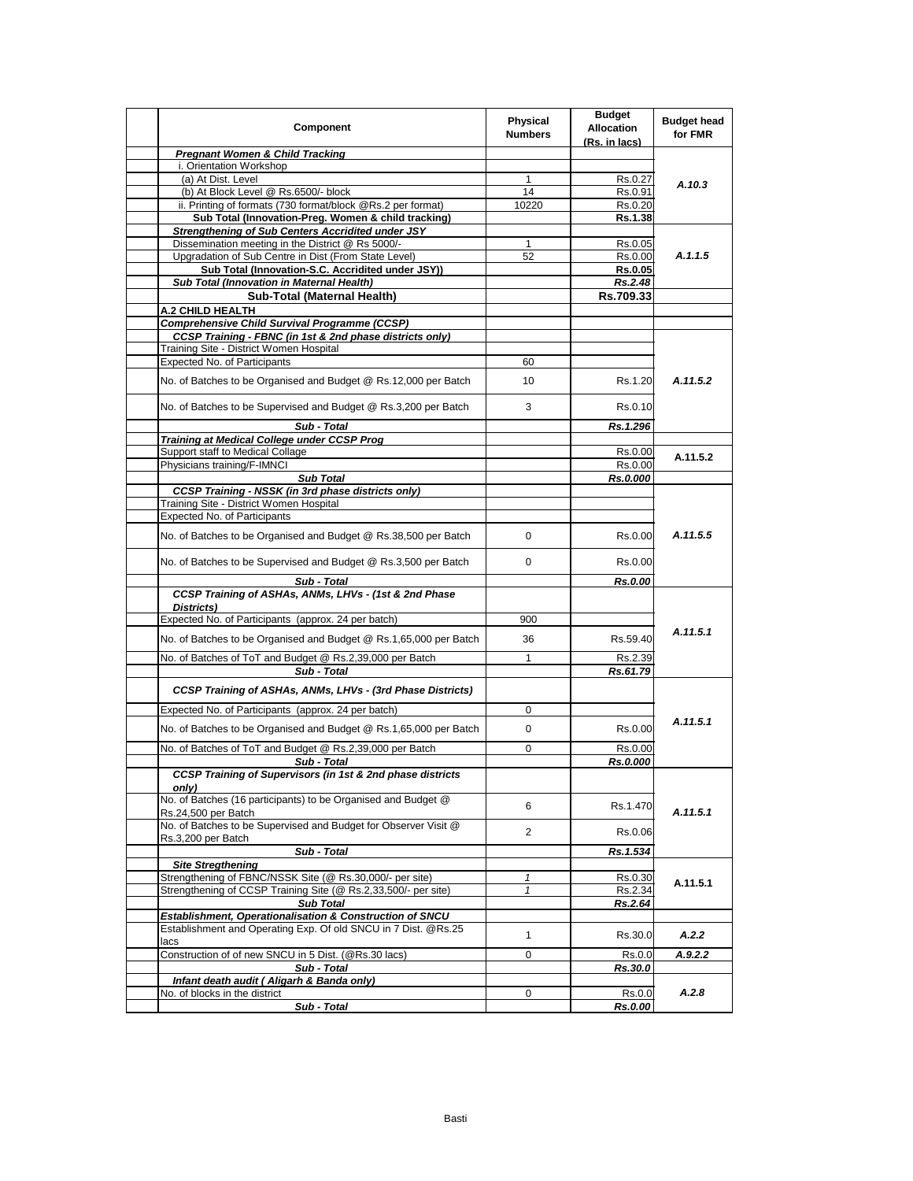| Component                                                                                                        | Physical<br><b>Numbers</b> | <b>Budget</b><br><b>Allocation</b><br>(Rs. in lacs) | <b>Budget head</b><br>for FMR |
|------------------------------------------------------------------------------------------------------------------|----------------------------|-----------------------------------------------------|-------------------------------|
| <b>Pregnant Women &amp; Child Tracking</b>                                                                       |                            |                                                     |                               |
| i. Orientation Workshop                                                                                          |                            |                                                     |                               |
| (a) At Dist. Level                                                                                               | $\mathbf{1}$               | Rs.0.27                                             | A.10.3                        |
| (b) At Block Level @ Rs.6500/- block                                                                             | 14                         | Rs.0.91                                             |                               |
| ii. Printing of formats (730 format/block @Rs.2 per format)                                                      | 10220                      | Rs.0.20                                             |                               |
| Sub Total (Innovation-Preg. Women & child tracking)                                                              |                            | Rs.1.38                                             |                               |
| <b>Strengthening of Sub Centers Accridited under JSY</b>                                                         |                            |                                                     |                               |
| Dissemination meeting in the District @ Rs 5000/-                                                                | $\mathbf{1}$               | Rs.0.05                                             | A.1.1.5                       |
| Upgradation of Sub Centre in Dist (From State Level)                                                             | 52                         | Rs.0.00                                             |                               |
| Sub Total (Innovation-S.C. Accridited under JSY))<br>Sub Total (Innovation in Maternal Health)                   |                            | <b>Rs.0.05</b>                                      |                               |
|                                                                                                                  |                            | Rs.2.48                                             |                               |
| Sub-Total (Maternal Health)                                                                                      |                            | Rs.709.33                                           |                               |
| A.2 CHILD HEALTH                                                                                                 |                            |                                                     |                               |
| <b>Comprehensive Child Survival Programme (CCSP)</b><br>CCSP Training - FBNC (in 1st & 2nd phase districts only) |                            |                                                     |                               |
| Training Site - District Women Hospital                                                                          |                            |                                                     |                               |
| <b>Expected No. of Participants</b>                                                                              | 60                         |                                                     |                               |
|                                                                                                                  |                            |                                                     |                               |
| No. of Batches to be Organised and Budget @ Rs.12,000 per Batch                                                  | 10                         | Rs.1.20                                             | A.11.5.2                      |
| No. of Batches to be Supervised and Budget @ Rs.3,200 per Batch                                                  | 3                          | Rs.0.10                                             |                               |
| Sub - Total                                                                                                      |                            | Rs.1.296                                            |                               |
| <b>Training at Medical College under CCSP Prog</b>                                                               |                            |                                                     |                               |
| Support staff to Medical Collage                                                                                 |                            | Rs.0.00                                             | A.11.5.2                      |
| Physicians training/F-IMNCI                                                                                      |                            | Rs.0.00                                             |                               |
| <b>Sub Total</b>                                                                                                 |                            | Rs.0.000                                            |                               |
| <b>CCSP Training - NSSK (in 3rd phase districts only)</b>                                                        |                            |                                                     |                               |
| Training Site - District Women Hospital                                                                          |                            |                                                     | A.11.5.5                      |
| <b>Expected No. of Participants</b>                                                                              |                            |                                                     |                               |
| No. of Batches to be Organised and Budget @ Rs.38,500 per Batch                                                  | 0                          | Rs.0.00                                             |                               |
| No. of Batches to be Supervised and Budget @ Rs.3,500 per Batch                                                  | 0                          | Rs.0.00                                             |                               |
| Sub - Total                                                                                                      |                            | Rs.0.00                                             |                               |
| CCSP Training of ASHAs, ANMs, LHVs - (1st & 2nd Phase<br>Districts)                                              |                            |                                                     |                               |
| Expected No. of Participants (approx. 24 per batch)                                                              | 900                        |                                                     |                               |
| No. of Batches to be Organised and Budget @ Rs.1,65,000 per Batch                                                | 36                         | Rs.59.40                                            | A.11.5.1                      |
| No. of Batches of ToT and Budget @ Rs.2,39,000 per Batch                                                         | $\mathbf{1}$               | Rs.2.39                                             |                               |
| Sub - Total                                                                                                      |                            | Rs.61.79                                            |                               |
| CCSP Training of ASHAs, ANMs, LHVs - (3rd Phase Districts)                                                       |                            |                                                     |                               |
| Expected No. of Participants (approx. 24 per batch)                                                              | 0                          |                                                     |                               |
| No. of Batches to be Organised and Budget @ Rs.1,65,000 per Batch                                                | 0                          | Rs.0.00                                             | A.11.5.1                      |
| No. of Batches of ToT and Budget @ Rs.2,39,000 per Batch                                                         | 0                          | Rs.0.00                                             |                               |
| Sub - Total                                                                                                      |                            | Rs.0.000                                            |                               |
| <b>CCSP Training of Supervisors (in 1st &amp; 2nd phase districts</b><br>only)                                   |                            |                                                     |                               |
| No. of Batches (16 participants) to be Organised and Budget @<br>Rs.24,500 per Batch                             | 6                          | Rs.1.470                                            | A.11.5.1                      |
| No. of Batches to be Supervised and Budget for Observer Visit @                                                  | $\overline{2}$             | Rs.0.06                                             |                               |
| Rs.3,200 per Batch                                                                                               |                            |                                                     |                               |
| Sub - Total                                                                                                      |                            | Rs.1.534                                            |                               |
| <b>Site Stregthening</b><br>Strengthening of FBNC/NSSK Site (@ Rs.30,000/- per site)                             |                            |                                                     |                               |
| Strengthening of CCSP Training Site (@ Rs.2,33,500/- per site)                                                   | 1<br>$\mathbf{1}$          | Rs.0.30<br>Rs.2.34                                  | A.11.5.1                      |
| <b>Sub Total</b>                                                                                                 |                            | Rs.2.64                                             |                               |
| Establishment, Operationalisation & Construction of SNCU                                                         |                            |                                                     |                               |
| Establishment and Operating Exp. Of old SNCU in 7 Dist. @Rs.25                                                   |                            |                                                     |                               |
| lacs                                                                                                             | $\mathbf{1}$               | Rs.30.0                                             | A.2.2                         |
| Construction of of new SNCU in 5 Dist. (@Rs.30 lacs)                                                             | 0                          | Rs.0.0                                              | A.9.2.2                       |
| Sub - Total                                                                                                      |                            | Rs.30.0                                             |                               |
| Infant death audit (Aligarh & Banda only)                                                                        |                            |                                                     |                               |
| No. of blocks in the district                                                                                    | 0                          | Rs.0.0                                              | A.2.8                         |
| Sub - Total                                                                                                      |                            | Rs.0.00                                             |                               |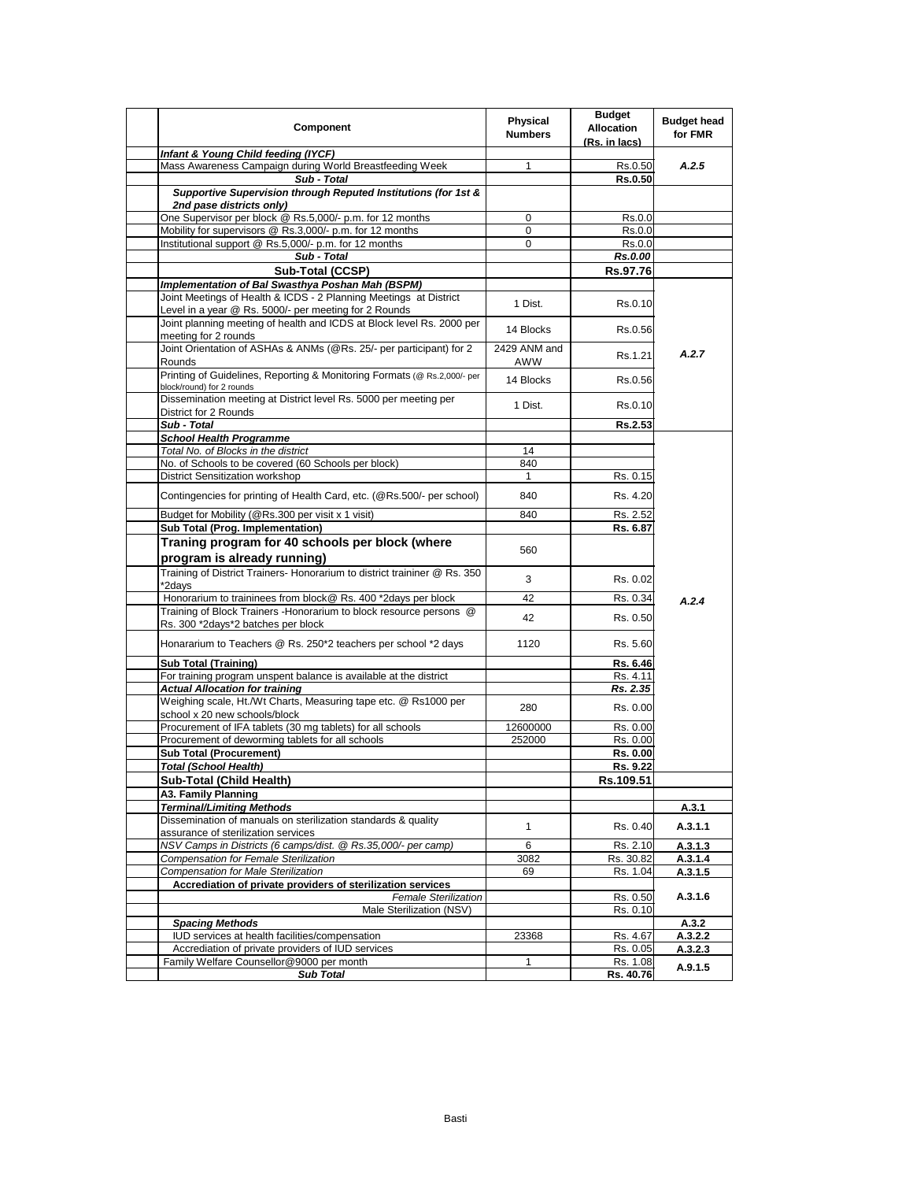| Component                                                                                                                  | Physical<br><b>Numbers</b> | <b>Budget</b><br><b>Allocation</b><br>(Rs. in lacs) | <b>Budget head</b><br>for FMR |
|----------------------------------------------------------------------------------------------------------------------------|----------------------------|-----------------------------------------------------|-------------------------------|
| Infant & Young Child feeding (IYCF)                                                                                        |                            |                                                     |                               |
| Mass Awareness Campaign during World Breastfeeding Week                                                                    | $\mathbf{1}$               | Rs.0.50                                             | A.2.5                         |
| Sub - Total                                                                                                                |                            | Rs.0.50                                             |                               |
| Supportive Supervision through Reputed Institutions (for 1st &<br>2nd pase districts only)                                 |                            |                                                     |                               |
| One Supervisor per block @ Rs.5,000/- p.m. for 12 months                                                                   | 0                          | Rs.0.0                                              |                               |
| Mobility for supervisors @ Rs.3,000/- p.m. for 12 months                                                                   | $\mathbf 0$                | Rs.0.0                                              |                               |
| Institutional support @ Rs.5,000/- p.m. for 12 months                                                                      | 0                          | Rs.0.0                                              |                               |
| Sub - Total                                                                                                                |                            | Rs.0.00                                             |                               |
| Sub-Total (CCSP)                                                                                                           |                            | Rs.97.76                                            |                               |
| Implementation of Bal Swasthya Poshan Mah (BSPM)                                                                           |                            |                                                     |                               |
| Joint Meetings of Health & ICDS - 2 Planning Meetings at District<br>Level in a year @ Rs. 5000/- per meeting for 2 Rounds | 1 Dist.                    | Rs.0.10                                             |                               |
| Joint planning meeting of health and ICDS at Block level Rs. 2000 per<br>meeting for 2 rounds                              | 14 Blocks                  | Rs.0.56                                             |                               |
| Joint Orientation of ASHAs & ANMs (@Rs. 25/- per participant) for 2<br>Rounds                                              | 2429 ANM and<br>AWW        | Rs.1.21                                             | A.2.7                         |
| Printing of Guidelines, Reporting & Monitoring Formats (@ Rs.2,000/- per<br>block/round) for 2 rounds                      | 14 Blocks                  | Rs.0.56                                             |                               |
| Dissemination meeting at District level Rs. 5000 per meeting per                                                           | 1 Dist.                    | Rs.0.10                                             |                               |
| District for 2 Rounds<br>Sub - Total                                                                                       |                            |                                                     |                               |
| <b>School Health Programme</b>                                                                                             |                            | Rs.2.53                                             |                               |
| Total No. of Blocks in the district                                                                                        | 14                         |                                                     |                               |
| No. of Schools to be covered (60 Schools per block)                                                                        | 840                        |                                                     |                               |
| District Sensitization workshop                                                                                            | $\mathbf{1}$               |                                                     |                               |
| Contingencies for printing of Health Card, etc. (@Rs.500/- per school)                                                     | 840                        | Rs. 0.15<br>Rs. 4.20                                |                               |
|                                                                                                                            |                            |                                                     |                               |
| Budget for Mobility (@Rs.300 per visit x 1 visit)                                                                          | 840                        | Rs. 2.52                                            |                               |
| Sub Total (Prog. Implementation)                                                                                           |                            | Rs. 6.87                                            |                               |
| Traning program for 40 schools per block (where                                                                            | 560                        |                                                     |                               |
| program is already running)                                                                                                |                            |                                                     |                               |
| Training of District Trainers- Honorarium to district traininer @ Rs. 350<br>*2days                                        | 3                          | Rs. 0.02                                            |                               |
| Honorarium to traininees from block@ Rs. 400 *2days per block                                                              | 42                         | Rs. 0.34                                            | A.2.4                         |
| Training of Block Trainers - Honorarium to block resource persons @<br>Rs. 300 *2days*2 batches per block                  | 42                         | Rs. 0.50                                            |                               |
| Honararium to Teachers @ Rs. 250*2 teachers per school *2 days                                                             | 1120                       | Rs. 5.60                                            |                               |
|                                                                                                                            |                            |                                                     |                               |
| <b>Sub Total (Training)</b><br>For training program unspent balance is available at the district                           |                            | Rs. 6.46<br>Rs. 4.11                                |                               |
| <b>Actual Allocation for training</b>                                                                                      |                            | Rs. 2.35                                            |                               |
| Weighing scale, Ht./Wt Charts, Measuring tape etc. @ Rs1000 per                                                            |                            |                                                     |                               |
| school x 20 new schools/block                                                                                              | 280                        | Rs. 0.00                                            |                               |
| Procurement of IFA tablets (30 mg tablets) for all schools                                                                 | 12600000                   | Rs. 0.00                                            |                               |
| Procurement of deworming tablets for all schools                                                                           | 252000                     | Rs. 0.00                                            |                               |
| <b>Sub Total (Procurement)</b>                                                                                             |                            | Rs. 0.00                                            |                               |
| <b>Total (School Health)</b>                                                                                               |                            | Rs. 9.22                                            |                               |
| Sub-Total (Child Health)                                                                                                   |                            | Rs.109.51                                           |                               |
| A3. Family Planning                                                                                                        |                            |                                                     |                               |
| <b>Terminal/Limiting Methods</b>                                                                                           |                            |                                                     | A.3.1                         |
| Dissemination of manuals on sterilization standards & quality                                                              | 1                          | Rs. 0.40                                            | A.3.1.1                       |
| assurance of sterilization services                                                                                        |                            |                                                     |                               |
| NSV Camps in Districts (6 camps/dist. @ Rs.35,000/- per camp)                                                              | 6                          | Rs. 2.10                                            | A.3.1.3                       |
| Compensation for Female Sterilization<br>Compensation for Male Sterilization                                               | 3082<br>69                 | Rs. 30.82<br>Rs. 1.04                               | A.3.1.4                       |
| Accrediation of private providers of sterilization services                                                                |                            |                                                     | A.3.1.5                       |
| <b>Female Sterilization</b>                                                                                                |                            | Rs. 0.50                                            | A.3.1.6                       |
| Male Sterilization (NSV)                                                                                                   |                            | Rs. 0.10                                            |                               |
| <b>Spacing Methods</b>                                                                                                     |                            |                                                     | A.3.2                         |
| IUD services at health facilities/compensation                                                                             | 23368                      | Rs. 4.67                                            | A.3.2.2                       |
| Accrediation of private providers of IUD services                                                                          |                            | Rs. 0.05                                            | A.3.2.3                       |
| Family Welfare Counsellor@9000 per month                                                                                   | 1                          | Rs. 1.08                                            |                               |
| <b>Sub Total</b>                                                                                                           |                            | Rs. 40.76                                           | A.9.1.5                       |
|                                                                                                                            |                            |                                                     |                               |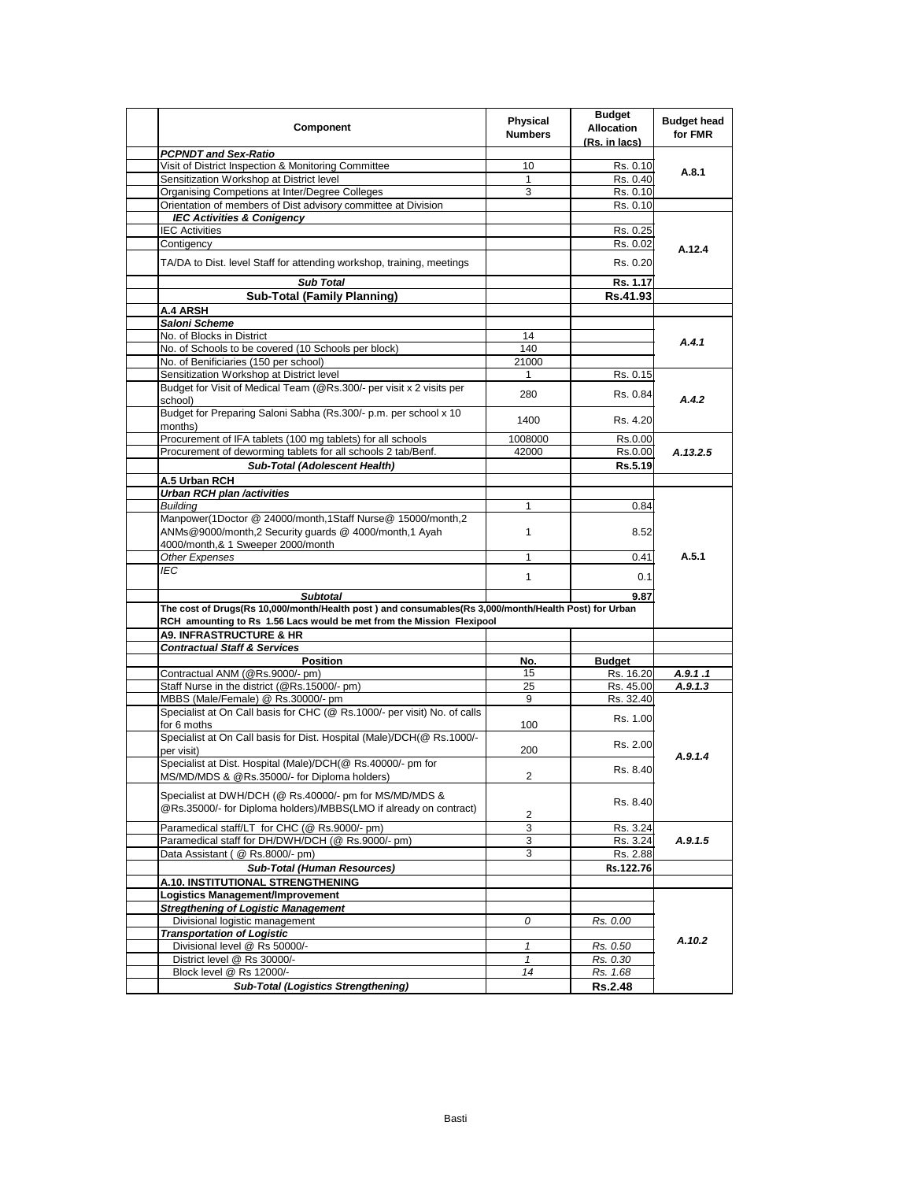| Component                                                                                                                                                | Physical<br><b>Numbers</b> | <b>Budget</b><br><b>Allocation</b><br>(Rs. in lacs) | <b>Budget head</b><br>for FMR |
|----------------------------------------------------------------------------------------------------------------------------------------------------------|----------------------------|-----------------------------------------------------|-------------------------------|
| <b>PCPNDT and Sex-Ratio</b>                                                                                                                              |                            |                                                     |                               |
| Visit of District Inspection & Monitoring Committee                                                                                                      | 10                         | Rs. 0.10                                            | A.8.1                         |
| Sensitization Workshop at District level                                                                                                                 | 1                          | Rs. 0.40                                            |                               |
| Organising Competions at Inter/Degree Colleges                                                                                                           | 3                          | Rs. 0.10                                            |                               |
| Orientation of members of Dist advisory committee at Division                                                                                            |                            | Rs. 0.10                                            |                               |
| <b>IEC Activities &amp; Conigency</b>                                                                                                                    |                            |                                                     |                               |
| <b>IEC Activities</b>                                                                                                                                    |                            | Rs. 0.25                                            |                               |
| Contigency                                                                                                                                               |                            | Rs. 0.02                                            | A.12.4                        |
| TA/DA to Dist. level Staff for attending workshop, training, meetings                                                                                    |                            | Rs. 0.20                                            |                               |
| <b>Sub Total</b>                                                                                                                                         |                            | Rs. 1.17                                            |                               |
| <b>Sub-Total (Family Planning)</b>                                                                                                                       |                            | Rs.41.93                                            |                               |
| A.4 ARSH                                                                                                                                                 |                            |                                                     |                               |
| Saloni Scheme                                                                                                                                            |                            |                                                     |                               |
| No. of Blocks in District                                                                                                                                | 14                         |                                                     | A.4.1                         |
| No. of Schools to be covered (10 Schools per block)                                                                                                      | 140                        |                                                     |                               |
| No. of Benificiaries (150 per school)                                                                                                                    | 21000                      |                                                     |                               |
| Sensitization Workshop at District level                                                                                                                 | 1                          | Rs. 0.15                                            |                               |
| Budget for Visit of Medical Team (@Rs.300/- per visit x 2 visits per                                                                                     |                            |                                                     |                               |
| school)<br>Budget for Preparing Saloni Sabha (Rs.300/- p.m. per school x 10                                                                              | 280                        | Rs. 0.84                                            | A.4.2                         |
| months)                                                                                                                                                  | 1400                       | Rs. 4.20                                            |                               |
| Procurement of IFA tablets (100 mg tablets) for all schools                                                                                              | 1008000                    | Rs.0.00                                             |                               |
| Procurement of deworming tablets for all schools 2 tab/Benf.                                                                                             | 42000                      | Rs.0.00                                             | A.13.2.5                      |
| <b>Sub-Total (Adolescent Health)</b>                                                                                                                     |                            | Rs.5.19                                             |                               |
| A.5 Urban RCH                                                                                                                                            |                            |                                                     |                               |
| <b>Urban RCH plan /activities</b>                                                                                                                        |                            |                                                     |                               |
| <b>Building</b>                                                                                                                                          | 1                          | 0.84                                                | A.5.1                         |
| Manpower(1Doctor @ 24000/month,1Staff Nurse@ 15000/month,2<br>ANMs@9000/month,2 Security guards @ 4000/month,1 Ayah<br>4000/month,& 1 Sweeper 2000/month | 1                          | 8.52                                                |                               |
| Other Expenses                                                                                                                                           | 1                          | 0.41                                                |                               |
| IEC                                                                                                                                                      |                            |                                                     |                               |
|                                                                                                                                                          | $\mathbf{1}$               | 0.1                                                 |                               |
| <b>Subtotal</b>                                                                                                                                          |                            | 9.87                                                |                               |
| The cost of Drugs(Rs 10,000/month/Health post) and consumables(Rs 3,000/month/Health Post) for Urban                                                     |                            |                                                     |                               |
| RCH amounting to Rs 1.56 Lacs would be met from the Mission Flexipool                                                                                    |                            |                                                     |                               |
| <b>A9. INFRASTRUCTURE &amp; HR</b>                                                                                                                       |                            |                                                     |                               |
| <b>Contractual Staff &amp; Services</b>                                                                                                                  |                            |                                                     |                               |
| <b>Position</b>                                                                                                                                          | No.                        | <b>Budget</b>                                       |                               |
| Contractual ANM (@Rs.9000/- pm)                                                                                                                          | 15                         | Rs. 16.20                                           | A.9.1.1                       |
| Staff Nurse in the district (@Rs.15000/- pm)                                                                                                             | 25                         | Rs. 45.00                                           | A.9.1.3                       |
| MBBS (Male/Female) @ Rs.30000/- pm                                                                                                                       | 9                          | Rs. 32.40                                           |                               |
| Specialist at On Call basis for CHC (@ Rs.1000/- per visit) No. of calls<br>for 6 moths                                                                  | 100                        | Rs. 1.00                                            |                               |
| Specialist at On Call basis for Dist. Hospital (Male)/DCH(@ Rs.1000/-                                                                                    |                            |                                                     |                               |
| per visit)<br>Specialist at Dist. Hospital (Male)/DCH(@ Rs.40000/- pm for                                                                                | 200                        | Rs. 2.00                                            | A.9.1.4                       |
| MS/MD/MDS & @Rs.35000/- for Diploma holders)                                                                                                             | $\overline{c}$             | Rs. 8.40                                            |                               |
| Specialist at DWH/DCH (@ Rs.40000/- pm for MS/MD/MDS &<br>@Rs.35000/- for Diploma holders)/MBBS(LMO if already on contract)                              | 2                          | Rs. 8.40                                            |                               |
| Paramedical staff/LT for CHC (@ Rs.9000/- pm)                                                                                                            | 3                          | Rs. 3.24                                            |                               |
| Paramedical staff for DH/DWH/DCH (@ Rs.9000/- pm)                                                                                                        | 3                          | Rs. 3.24                                            | A.9.1.5                       |
| Data Assistant ( @ Rs.8000/- pm)                                                                                                                         | 3                          | Rs. 2.88                                            |                               |
| <b>Sub-Total (Human Resources)</b>                                                                                                                       |                            | Rs.122.76                                           |                               |
| A.10. INSTITUTIONAL STRENGTHENING                                                                                                                        |                            |                                                     |                               |
| Logistics Management/Improvement                                                                                                                         |                            |                                                     |                               |
| <b>Stregthening of Logistic Management</b>                                                                                                               |                            |                                                     |                               |
| Divisional logistic management                                                                                                                           | 0                          | Rs. 0.00                                            |                               |
| <b>Transportation of Logistic</b>                                                                                                                        |                            |                                                     |                               |
| Divisional level @ Rs 50000/-                                                                                                                            | 1                          | Rs. 0.50                                            | A.10.2                        |
| District level @ Rs 30000/-                                                                                                                              | $\mathbf{1}$               | Rs. 0.30                                            |                               |
| Block level @ Rs 12000/-                                                                                                                                 | 14                         | Rs. 1.68                                            |                               |
|                                                                                                                                                          |                            | Rs.2.48                                             |                               |
| <b>Sub-Total (Logistics Strengthening)</b>                                                                                                               |                            |                                                     |                               |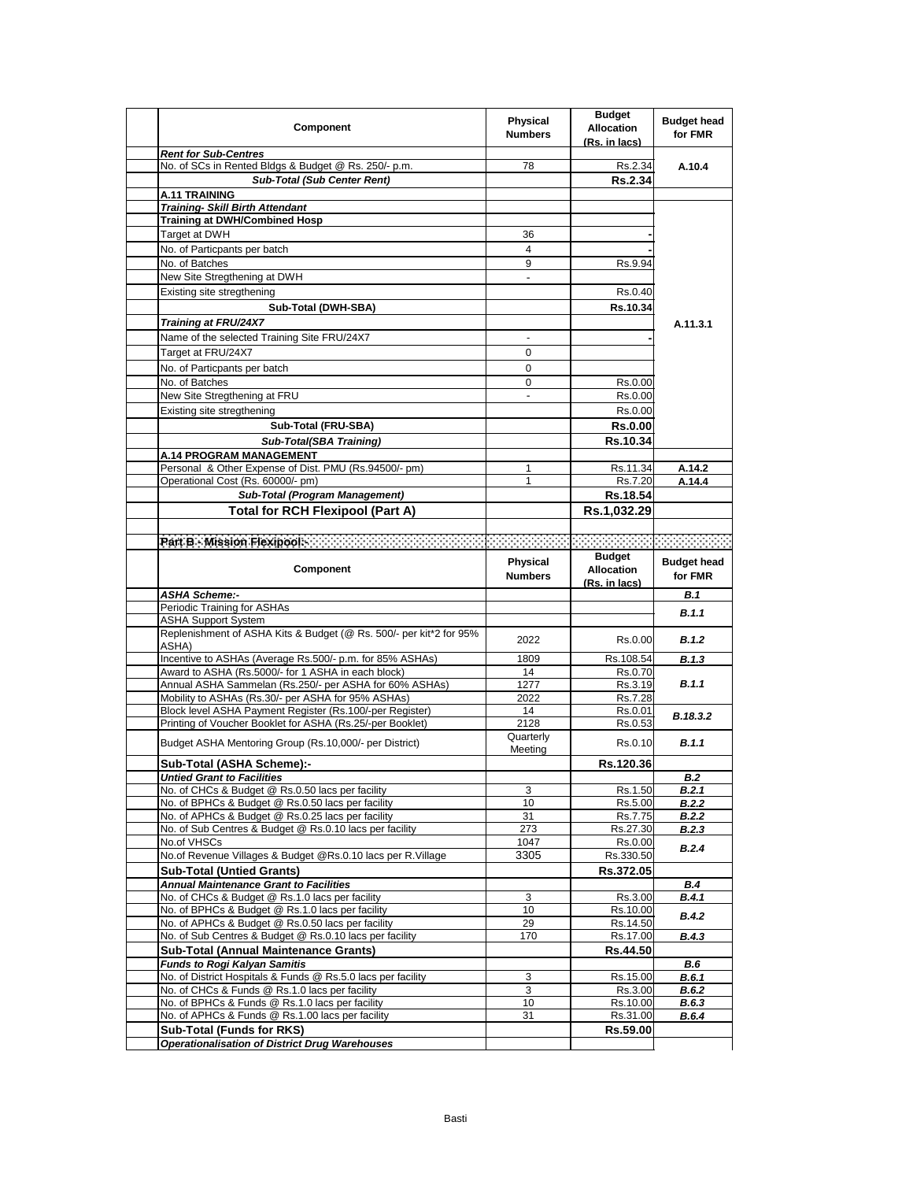| Component                                                                                             | Physical<br><b>Numbers</b> | <b>Budget</b><br><b>Allocation</b><br>(Rs. in lacs) | <b>Budget head</b><br>for FMR |
|-------------------------------------------------------------------------------------------------------|----------------------------|-----------------------------------------------------|-------------------------------|
| <b>Rent for Sub-Centres</b>                                                                           |                            |                                                     |                               |
| No. of SCs in Rented Bldgs & Budget @ Rs. 250/- p.m.                                                  | 78                         | Rs.2.34                                             | A.10.4                        |
| <b>Sub-Total (Sub Center Rent)</b>                                                                    |                            | Rs.2.34                                             |                               |
| A.11 TRAINING                                                                                         |                            |                                                     |                               |
| <b>Training- Skill Birth Attendant</b><br><b>Training at DWH/Combined Hosp</b>                        |                            |                                                     |                               |
| Target at DWH                                                                                         | 36                         |                                                     |                               |
|                                                                                                       | 4                          |                                                     |                               |
| No. of Particpants per batch                                                                          | 9                          |                                                     |                               |
| No. of Batches<br>New Site Stregthening at DWH                                                        |                            | Rs.9.94                                             |                               |
| Existing site stregthening                                                                            |                            | Rs.0.40                                             |                               |
|                                                                                                       |                            |                                                     |                               |
| Sub-Total (DWH-SBA)                                                                                   |                            | Rs.10.34                                            |                               |
| Training at FRU/24X7                                                                                  |                            |                                                     | A.11.3.1                      |
| Name of the selected Training Site FRU/24X7                                                           |                            |                                                     |                               |
| Target at FRU/24X7                                                                                    | 0                          |                                                     |                               |
| No. of Particpants per batch                                                                          | 0                          |                                                     |                               |
| No. of Batches                                                                                        | 0                          | Rs.0.00                                             |                               |
| New Site Stregthening at FRU                                                                          | $\overline{a}$             | Rs.0.00                                             |                               |
| Existing site stregthening                                                                            |                            | Rs.0.00                                             |                               |
| Sub-Total (FRU-SBA)                                                                                   |                            | <b>Rs.0.00</b>                                      |                               |
| Sub-Total(SBA Training)                                                                               |                            | Rs.10.34                                            |                               |
| A.14 PROGRAM MANAGEMENT                                                                               |                            |                                                     |                               |
| Personal & Other Expense of Dist. PMU (Rs.94500/- pm)                                                 | 1                          | Rs.11.34                                            | A.14.2                        |
| Operational Cost (Rs. 60000/- pm)                                                                     | 1                          | Rs.7.20                                             | A.14.4                        |
| Sub-Total (Program Management)                                                                        |                            | Rs.18.54                                            |                               |
| <b>Total for RCH Flexipool (Part A)</b>                                                               |                            | Rs.1,032.29                                         |                               |
|                                                                                                       |                            |                                                     |                               |
|                                                                                                       |                            |                                                     |                               |
|                                                                                                       | <b>Physical</b>            | <b>Budget</b>                                       | <b>Budget head</b>            |
| Component                                                                                             | <b>Numbers</b>             | <b>Allocation</b>                                   | for FMR                       |
|                                                                                                       |                            | (Rs. in lacs)                                       |                               |
| <b>ASHA Scheme:-</b><br>Periodic Training for ASHAs                                                   |                            |                                                     | <b>B.1</b>                    |
| <b>ASHA Support System</b>                                                                            |                            |                                                     | B.1.1                         |
| Replenishment of ASHA Kits & Budget (@ Rs. 500/- per kit*2 for 95%                                    |                            |                                                     |                               |
| ASHA)                                                                                                 | 2022                       | Rs.0.00                                             | B.1.2                         |
| Incentive to ASHAs (Average Rs.500/- p.m. for 85% ASHAs)                                              | 1809                       | Rs.108.54                                           | B.1.3                         |
| Award to ASHA (Rs.5000/- for 1 ASHA in each block)                                                    | 14                         | Rs.0.70                                             |                               |
| Annual ASHA Sammelan (Rs.250/- per ASHA for 60% ASHAs)                                                | 1277                       | Rs.3.19                                             | B.1.1                         |
| Mobility to ASHAs (Rs.30/- per ASHA for 95% ASHAs)                                                    | 2022                       | Rs.7.28                                             |                               |
| Block level ASHA Payment Register (Rs.100/-per Register)                                              | 14                         | Rs.0.01                                             | B.18.3.2                      |
| Printing of Voucher Booklet for ASHA (Rs.25/-per Booklet)                                             | 2128<br>Quarterly          | Rs.0.53                                             |                               |
| Budget ASHA Mentoring Group (Rs.10,000/- per District)                                                | Meeting                    | Rs.0.10                                             | B.1.1                         |
| Sub-Total (ASHA Scheme):-                                                                             |                            | Rs.120.36                                           |                               |
| Untied Grant to Facilities                                                                            |                            |                                                     | B.2                           |
| No. of CHCs & Budget @ Rs.0.50 lacs per facility                                                      | 3                          | Rs.1.50                                             | B.2.1                         |
| No. of BPHCs & Budget @ Rs.0.50 lacs per facility                                                     | 10                         | Rs.5.00                                             | B.2.2                         |
| No. of APHCs & Budget @ Rs.0.25 lacs per facility                                                     | 31                         | Rs.7.75                                             | B.2.2                         |
| No. of Sub Centres & Budget @ Rs.0.10 lacs per facility                                               | 273                        | Rs.27.30                                            | <b>B.2.3</b>                  |
| No.of VHSCs                                                                                           | 1047                       | Rs.0.00                                             | B.2.4                         |
| No.of Revenue Villages & Budget @Rs.0.10 lacs per R.Village                                           | 3305                       | Rs.330.50                                           |                               |
| <b>Sub-Total (Untied Grants)</b>                                                                      |                            | Rs.372.05                                           |                               |
| <b>Annual Maintenance Grant to Facilities</b>                                                         |                            |                                                     | <b>B.4</b>                    |
| No. of CHCs & Budget @ Rs.1.0 lacs per facility                                                       | 3                          | Rs.3.00                                             | B.4.1                         |
| No. of BPHCs & Budget @ Rs.1.0 lacs per facility<br>No. of APHCs & Budget @ Rs.0.50 lacs per facility | 10<br>29                   | Rs.10.00<br>Rs.14.50                                | B.4.2                         |
| No. of Sub Centres & Budget @ Rs.0.10 lacs per facility                                               | 170                        | Rs.17.00                                            | B.4.3                         |
| <b>Sub-Total (Annual Maintenance Grants)</b>                                                          |                            | Rs.44.50                                            |                               |
| <b>Funds to Rogi Kalyan Samitis</b>                                                                   |                            |                                                     | B.6                           |
| No. of District Hospitals & Funds @ Rs.5.0 lacs per facility                                          | 3                          | Rs.15.00                                            | B.6.1                         |
| No. of CHCs & Funds @ Rs.1.0 lacs per facility                                                        | 3                          | Rs.3.00                                             | B.6.2                         |
| No. of BPHCs & Funds @ Rs.1.0 lacs per facility                                                       | 10                         | Rs.10.00                                            | <b>B.6.3</b>                  |
| No. of APHCs & Funds @ Rs.1.00 lacs per facility                                                      | 31                         | Rs.31.00                                            | <b>B.6.4</b>                  |
| <b>Sub-Total (Funds for RKS)</b>                                                                      |                            | Rs.59.00                                            |                               |
| <b>Operationalisation of District Drug Warehouses</b>                                                 |                            |                                                     |                               |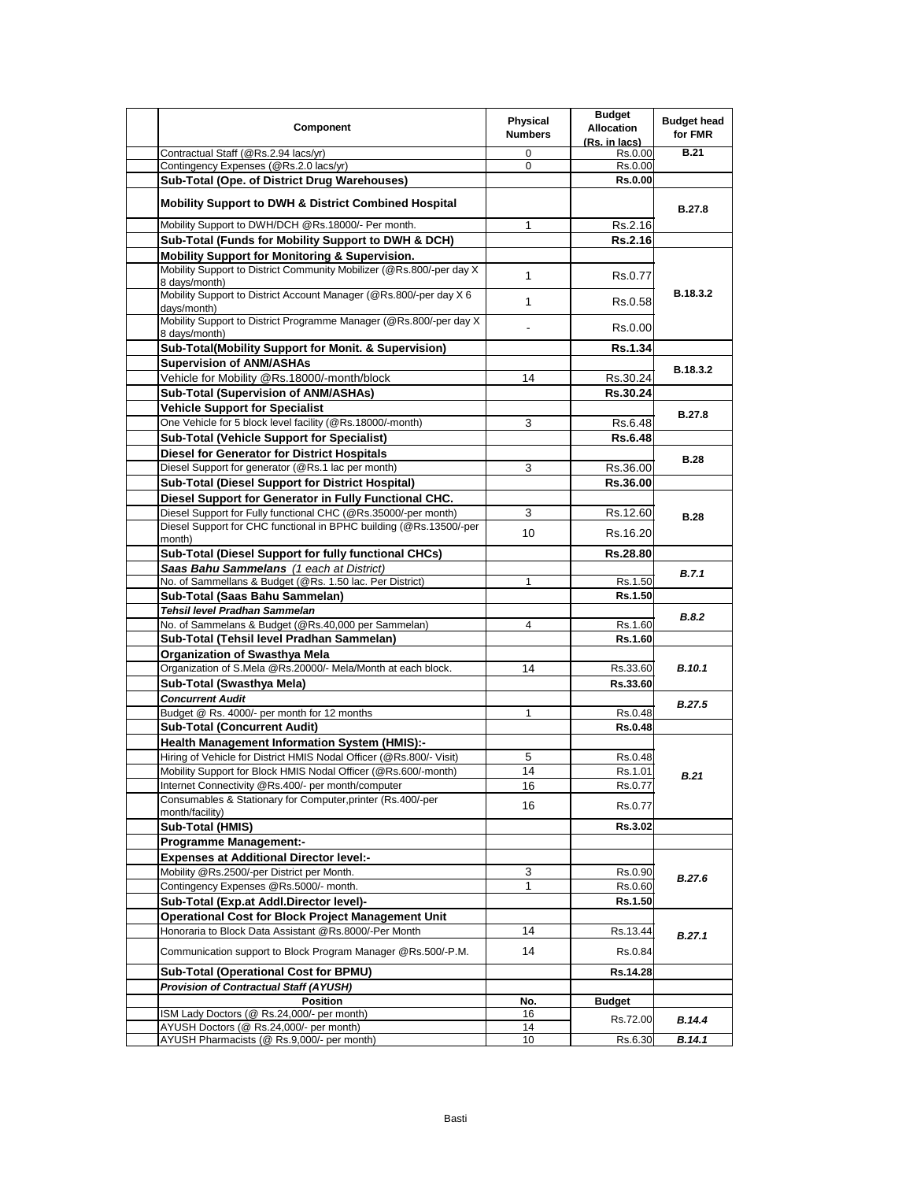| Component                                                                              | Physical<br><b>Numbers</b> | <b>Budget</b><br><b>Allocation</b><br>(Rs. in lacs) | <b>Budget head</b><br>for FMR |
|----------------------------------------------------------------------------------------|----------------------------|-----------------------------------------------------|-------------------------------|
| Contractual Staff (@Rs.2.94 lacs/yr)                                                   | 0                          | Rs.0.00                                             | <b>B.21</b>                   |
| Contingency Expenses (@Rs.2.0 lacs/yr)                                                 | 0                          | Rs.0.00                                             |                               |
| Sub-Total (Ope. of District Drug Warehouses)                                           |                            | <b>Rs.0.00</b>                                      |                               |
| <b>Mobility Support to DWH &amp; District Combined Hospital</b>                        |                            |                                                     | <b>B.27.8</b>                 |
| Mobility Support to DWH/DCH @Rs.18000/- Per month.                                     | 1                          | Rs.2.16                                             |                               |
| Sub-Total (Funds for Mobility Support to DWH & DCH)                                    |                            | Rs.2.16                                             |                               |
| <b>Mobility Support for Monitoring &amp; Supervision.</b>                              |                            |                                                     |                               |
| Mobility Support to District Community Mobilizer (@Rs.800/-per day X)<br>8 days/month) | $\mathbf{1}$               | Rs.0.77                                             |                               |
| Mobility Support to District Account Manager (@Rs.800/-per day X 6<br>days/month)      | $\mathbf{1}$               | Rs.0.58                                             | B.18.3.2                      |
| Mobility Support to District Programme Manager (@Rs.800/-per day X)<br>8 days/month)   |                            | Rs.0.00                                             |                               |
| <b>Sub-Total(Mobility Support for Monit. &amp; Supervision)</b>                        |                            | <b>Rs.1.34</b>                                      |                               |
| <b>Supervision of ANM/ASHAs</b>                                                        |                            |                                                     | B.18.3.2                      |
| Vehicle for Mobility @Rs.18000/-month/block                                            | 14                         | Rs.30.24                                            |                               |
| Sub-Total (Supervision of ANM/ASHAs)                                                   |                            | Rs.30.24                                            |                               |
| <b>Vehicle Support for Specialist</b>                                                  |                            |                                                     | <b>B.27.8</b>                 |
| One Vehicle for 5 block level facility (@Rs.18000/-month)                              | 3                          | Rs.6.48                                             |                               |
| <b>Sub-Total (Vehicle Support for Specialist)</b>                                      |                            | <b>Rs.6.48</b>                                      |                               |
| Diesel for Generator for District Hospitals                                            |                            |                                                     |                               |
| Diesel Support for generator (@Rs.1 lac per month)                                     | 3                          | Rs.36.00                                            | <b>B.28</b>                   |
| <b>Sub-Total (Diesel Support for District Hospital)</b>                                |                            | Rs.36.00                                            |                               |
| Diesel Support for Generator in Fully Functional CHC.                                  |                            |                                                     |                               |
| Diesel Support for Fully functional CHC (@Rs.35000/-per month)                         | 3                          | Rs.12.60                                            | <b>B.28</b>                   |
| Diesel Support for CHC functional in BPHC building (@Rs.13500/-per<br>month)           | 10                         | Rs.16.20                                            |                               |
| Sub-Total (Diesel Support for fully functional CHCs)                                   |                            | Rs.28.80                                            |                               |
| Saas Bahu Sammelans (1 each at District)                                               |                            |                                                     | B.7.1                         |
| No. of Sammellans & Budget (@Rs. 1.50 lac. Per District)                               | 1                          | Rs.1.50                                             |                               |
| Sub-Total (Saas Bahu Sammelan)                                                         |                            | Rs.1.50                                             |                               |
| Tehsil level Pradhan Sammelan                                                          |                            |                                                     | <b>B.8.2</b>                  |
| No. of Sammelans & Budget (@Rs.40,000 per Sammelan)                                    | 4                          | Rs.1.60                                             |                               |
| Sub-Total (Tehsil level Pradhan Sammelan)                                              |                            | Rs.1.60                                             |                               |
| Organization of Swasthya Mela                                                          |                            |                                                     |                               |
| Organization of S.Mela @Rs.20000/- Mela/Month at each block.                           | 14                         | Rs.33.60                                            | <b>B.10.1</b>                 |
| Sub-Total (Swasthya Mela)                                                              |                            | Rs.33.60                                            |                               |
| <b>Concurrent Audit</b>                                                                |                            |                                                     | <b>B.27.5</b>                 |
| Budget @ Rs. 4000/- per month for 12 months                                            | 1                          | Rs.0.48                                             |                               |
| <b>Sub-Total (Concurrent Audit)</b>                                                    |                            | <b>Rs.0.48</b>                                      |                               |
| <b>Health Management Information System (HMIS):-</b>                                   |                            |                                                     |                               |
| Hiring of Vehicle for District HMIS Nodal Officer (@Rs.800/- Visit)                    | 5                          | Rs.0.48                                             |                               |
| Mobility Support for Block HMIS Nodal Officer (@Rs.600/-month)                         | 14                         | Rs.1.01                                             | <b>B.21</b>                   |
| Internet Connectivity @Rs.400/- per month/computer                                     | 16                         | Rs.0.77                                             |                               |
| Consumables & Stationary for Computer, printer (Rs.400/-per<br>month/facility)         | 16                         | Rs.0.77                                             |                               |
| <b>Sub-Total (HMIS)</b>                                                                |                            | Rs.3.02                                             |                               |
| <b>Programme Management:-</b>                                                          |                            |                                                     |                               |
| <b>Expenses at Additional Director level:-</b>                                         |                            |                                                     |                               |
| Mobility @Rs.2500/-per District per Month.                                             | 3                          | Rs.0.90                                             | <b>B.27.6</b>                 |
| Contingency Expenses @Rs.5000/- month.                                                 | 1                          | Rs.0.60                                             |                               |
| Sub-Total (Exp.at Addl.Director level)-                                                |                            | Rs.1.50                                             |                               |
| <b>Operational Cost for Block Project Management Unit</b>                              |                            |                                                     |                               |
| Honoraria to Block Data Assistant @Rs.8000/-Per Month                                  | 14                         | Rs.13.44                                            | B.27.1                        |
| Communication support to Block Program Manager @Rs.500/-P.M.                           | 14                         | Rs.0.84                                             |                               |
| Sub-Total (Operational Cost for BPMU)                                                  |                            | Rs.14.28                                            |                               |
| <b>Provision of Contractual Staff (AYUSH)</b>                                          |                            |                                                     |                               |
| <b>Position</b>                                                                        | No.                        | <b>Budget</b>                                       |                               |
| ISM Lady Doctors (@ Rs.24,000/- per month)                                             | 16                         | Rs.72.00                                            | B.14.4                        |
| AYUSH Doctors (@ Rs.24,000/- per month)                                                | 14                         |                                                     |                               |
| AYUSH Pharmacists (@ Rs.9,000/- per month)                                             | 10                         | Rs.6.30                                             | B.14.1                        |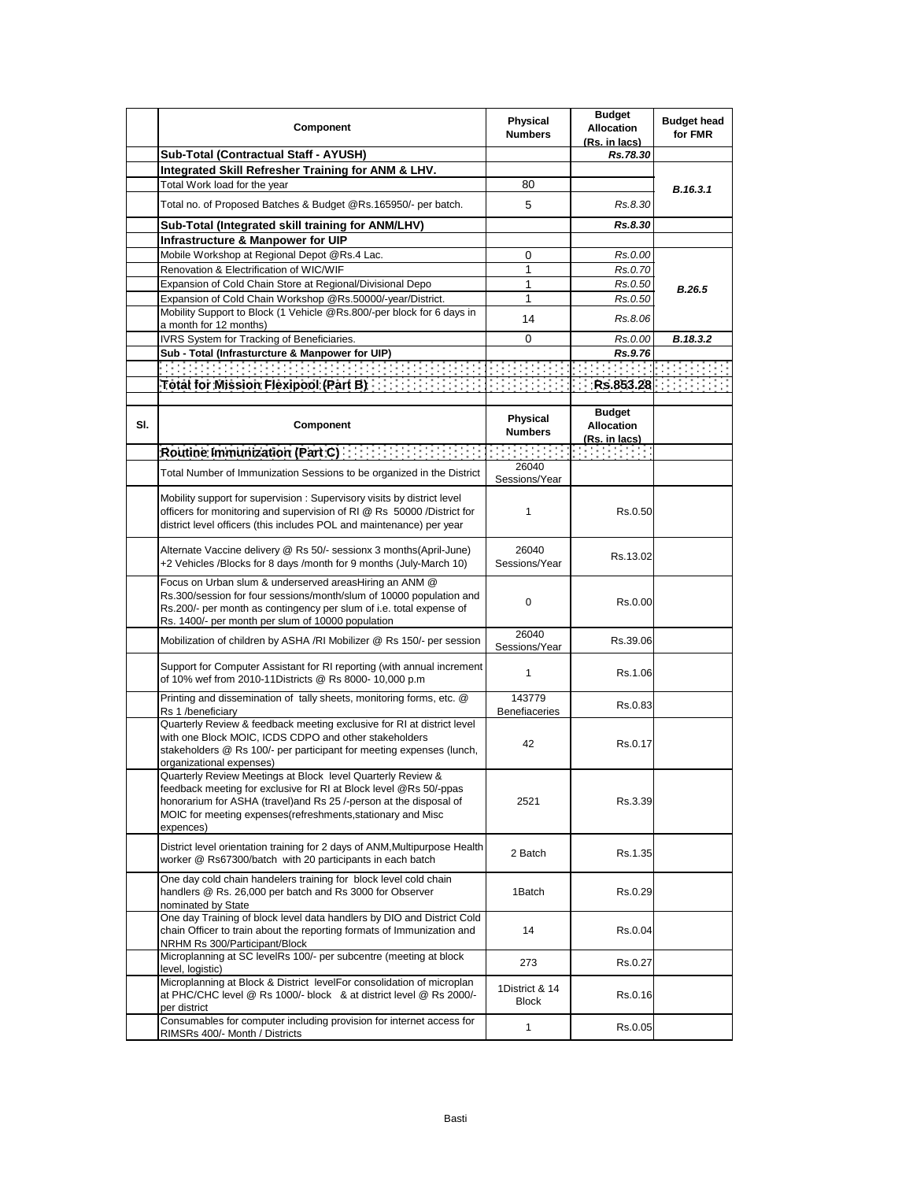|     | Component                                                                                                                                                                                                                                                                           | <b>Physical</b><br><b>Numbers</b> | <b>Budget</b><br><b>Allocation</b><br>(Rs. in lacs)        | <b>Budget head</b><br>for FMR |
|-----|-------------------------------------------------------------------------------------------------------------------------------------------------------------------------------------------------------------------------------------------------------------------------------------|-----------------------------------|------------------------------------------------------------|-------------------------------|
|     | Sub-Total (Contractual Staff - AYUSH)                                                                                                                                                                                                                                               |                                   | Rs.78.30                                                   |                               |
|     | Integrated Skill Refresher Training for ANM & LHV.                                                                                                                                                                                                                                  |                                   |                                                            |                               |
|     | Total Work load for the year                                                                                                                                                                                                                                                        | 80                                |                                                            | B.16.3.1                      |
|     | Total no. of Proposed Batches & Budget @Rs.165950/- per batch.                                                                                                                                                                                                                      | 5                                 | Rs.8.30                                                    |                               |
|     | Sub-Total (Integrated skill training for ANM/LHV)                                                                                                                                                                                                                                   |                                   | Rs.8.30                                                    |                               |
|     | Infrastructure & Manpower for UIP                                                                                                                                                                                                                                                   |                                   |                                                            |                               |
|     | Mobile Workshop at Regional Depot @Rs.4 Lac.                                                                                                                                                                                                                                        | 0                                 | Rs.0.00                                                    |                               |
|     | Renovation & Electrification of WIC/WIF                                                                                                                                                                                                                                             | 1                                 | Rs.0.70                                                    |                               |
|     | Expansion of Cold Chain Store at Regional/Divisional Depo                                                                                                                                                                                                                           | 1                                 | Rs.0.50                                                    | B.26.5                        |
|     | Expansion of Cold Chain Workshop @Rs.50000/-year/District.                                                                                                                                                                                                                          | 1                                 | Rs.0.50                                                    |                               |
|     | Mobility Support to Block (1 Vehicle @Rs.800/-per block for 6 days in                                                                                                                                                                                                               | 14                                | Rs.8.06                                                    |                               |
|     | a month for 12 months)                                                                                                                                                                                                                                                              |                                   |                                                            |                               |
|     | IVRS System for Tracking of Beneficiaries.                                                                                                                                                                                                                                          | 0                                 | Rs.0.00                                                    | B.18.3.2                      |
|     | Sub - Total (Infrasturcture & Manpower for UIP)                                                                                                                                                                                                                                     |                                   | Rs.9.76                                                    |                               |
|     |                                                                                                                                                                                                                                                                                     |                                   |                                                            |                               |
|     |                                                                                                                                                                                                                                                                                     |                                   |                                                            |                               |
|     |                                                                                                                                                                                                                                                                                     |                                   |                                                            |                               |
| SI. | Component                                                                                                                                                                                                                                                                           | Physical<br><b>Numbers</b>        | <b>Budget</b><br><b>Allocation</b><br><u>(Rs. in lacs)</u> |                               |
|     | Routine Immunization (Part C) [11] [11] [11] [11] [11]                                                                                                                                                                                                                              |                                   |                                                            |                               |
|     | Total Number of Immunization Sessions to be organized in the District                                                                                                                                                                                                               | 26040                             |                                                            |                               |
|     |                                                                                                                                                                                                                                                                                     | Sessions/Year                     |                                                            |                               |
|     | Mobility support for supervision: Supervisory visits by district level<br>officers for monitoring and supervision of RI @ Rs 50000 /District for<br>district level officers (this includes POL and maintenance) per year                                                            | 1                                 | Rs.0.50                                                    |                               |
|     | Alternate Vaccine delivery @ Rs 50/- sessionx 3 months(April-June)<br>+2 Vehicles /Blocks for 8 days /month for 9 months (July-March 10)                                                                                                                                            | 26040<br>Sessions/Year            | Rs.13.02                                                   |                               |
|     | Focus on Urban slum & underserved areasHiring an ANM @<br>Rs.300/session for four sessions/month/slum of 10000 population and<br>Rs.200/- per month as contingency per slum of i.e. total expense of<br>Rs. 1400/- per month per slum of 10000 population                           | 0                                 | Rs.0.00                                                    |                               |
|     | Mobilization of children by ASHA /RI Mobilizer @ Rs 150/- per session                                                                                                                                                                                                               | 26040<br>Sessions/Year            | Rs.39.06                                                   |                               |
|     | Support for Computer Assistant for RI reporting (with annual increment<br>of 10% wef from 2010-11Districts @ Rs 8000- 10,000 p.m                                                                                                                                                    | 1                                 | Rs.1.06                                                    |                               |
|     | Printing and dissemination of tally sheets, monitoring forms, etc. @<br>Rs 1 /beneficiary                                                                                                                                                                                           | 143779<br><b>Benefiaceries</b>    | Rs.0.83                                                    |                               |
|     | Quarterly Review & feedback meeting exclusive for RI at district level<br>with one Block MOIC, ICDS CDPO and other stakeholders<br>stakeholders @ Rs 100/- per participant for meeting expenses (lunch,<br>organizational expenses)                                                 | 42                                | Rs.0.17                                                    |                               |
|     | Quarterly Review Meetings at Block level Quarterly Review &<br>feedback meeting for exclusive for RI at Block level @Rs 50/-ppas<br>honorarium for ASHA (travel) and Rs 25 /-person at the disposal of<br>MOIC for meeting expenses (refreshments, stationary and Misc<br>expences) | 2521                              | Rs.3.39                                                    |                               |
|     | District level orientation training for 2 days of ANM, Multipurpose Health<br>worker @ Rs67300/batch with 20 participants in each batch                                                                                                                                             | 2 Batch                           | Rs.1.35                                                    |                               |
|     | One day cold chain handelers training for block level cold chain<br>handlers @ Rs. 26,000 per batch and Rs 3000 for Observer<br>nominated by State                                                                                                                                  | 1Batch                            | Rs.0.29                                                    |                               |
|     | One day Training of block level data handlers by DIO and District Cold<br>chain Officer to train about the reporting formats of Immunization and<br>NRHM Rs 300/Participant/Block                                                                                                   | 14                                | Rs.0.04                                                    |                               |
|     | Microplanning at SC levelRs 100/- per subcentre (meeting at block<br>level, logistic)                                                                                                                                                                                               | 273                               | Rs.0.27                                                    |                               |
|     | Microplanning at Block & District levelFor consolidation of microplan<br>at PHC/CHC level @ Rs 1000/- block & at district level @ Rs 2000/-<br>per district                                                                                                                         | 1District & 14<br>Block           | Rs.0.16                                                    |                               |
|     | Consumables for computer including provision for internet access for<br>RIMSRs 400/- Month / Districts                                                                                                                                                                              | 1                                 | Rs.0.05                                                    |                               |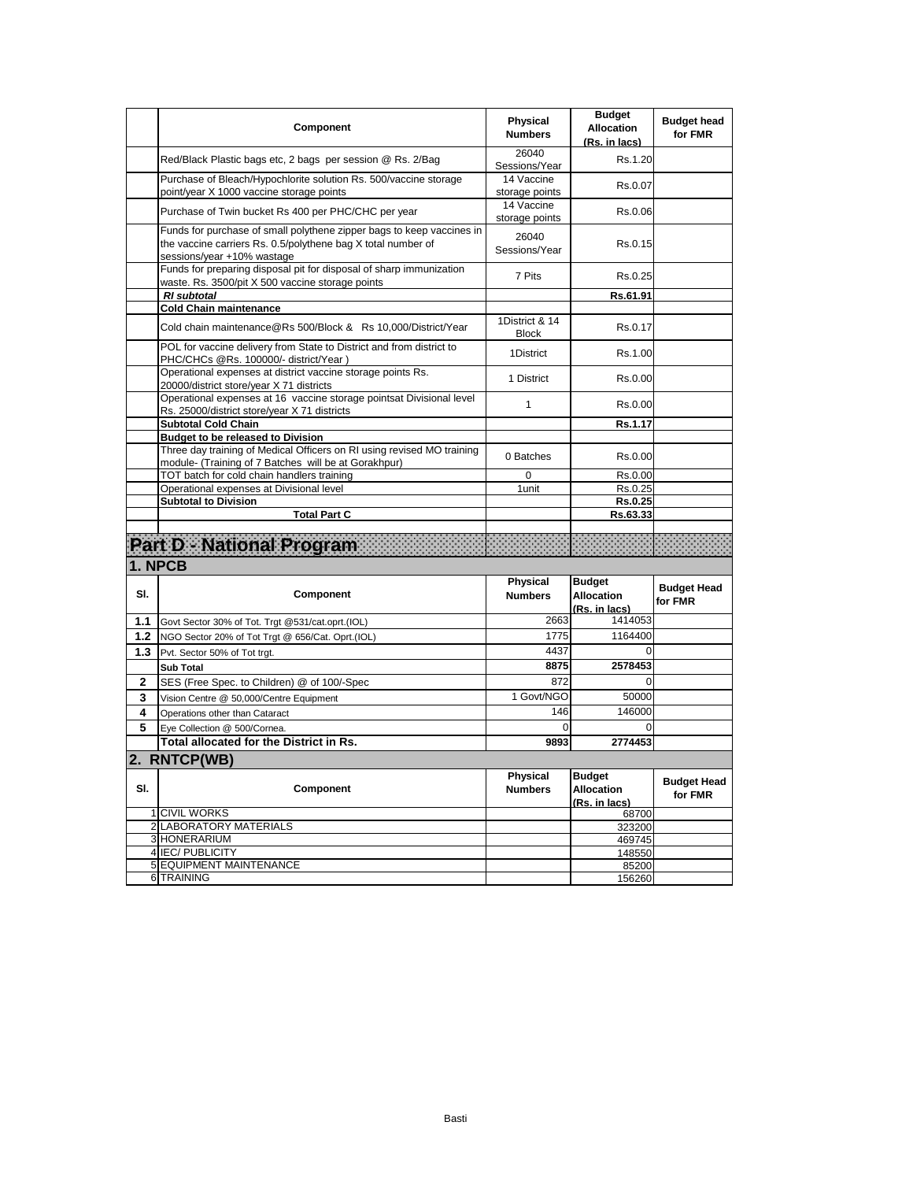|             | Component                                                                                                                                                           | <b>Physical</b><br><b>Numbers</b>         | <b>Budget</b><br>Allocation<br>(Rs. in lacs)        | <b>Budget head</b><br>for FMR |
|-------------|---------------------------------------------------------------------------------------------------------------------------------------------------------------------|-------------------------------------------|-----------------------------------------------------|-------------------------------|
|             | Red/Black Plastic bags etc, 2 bags per session @ Rs. 2/Bag                                                                                                          | 26040<br>Sessions/Year                    | Rs.1.20                                             |                               |
|             | Purchase of Bleach/Hypochlorite solution Rs. 500/vaccine storage<br>point/year X 1000 vaccine storage points                                                        | $\overline{14}$ Vaccine<br>storage points | Rs.0.07                                             |                               |
|             | Purchase of Twin bucket Rs 400 per PHC/CHC per year                                                                                                                 | 14 Vaccine<br>storage points              | Rs.0.06                                             |                               |
|             | Funds for purchase of small polythene zipper bags to keep vaccines in<br>the vaccine carriers Rs. 0.5/polythene bag X total number of<br>sessions/year +10% wastage | 26040<br>Sessions/Year                    | Rs.0.15                                             |                               |
|             | Funds for preparing disposal pit for disposal of sharp immunization<br>waste. Rs. 3500/pit X 500 vaccine storage points                                             | 7 Pits                                    | Rs.0.25                                             |                               |
|             | <b>RI</b> subtotal                                                                                                                                                  |                                           | Rs.61.91                                            |                               |
|             | <b>Cold Chain maintenance</b>                                                                                                                                       |                                           |                                                     |                               |
|             | Cold chain maintenance@Rs 500/Block & Rs 10,000/District/Year                                                                                                       | 1District & 14<br><b>Block</b>            | Rs.0.17                                             |                               |
|             | POL for vaccine delivery from State to District and from district to<br>PHC/CHCs @Rs. 100000/- district/Year)                                                       | 1District                                 | Rs.1.00                                             |                               |
|             | Operational expenses at district vaccine storage points Rs.<br>20000/district store/year X 71 districts                                                             | 1 District                                | Rs.0.00                                             |                               |
|             | Operational expenses at 16 vaccine storage pointsat Divisional level<br>Rs. 25000/district store/year X 71 districts                                                | $\mathbf{1}$                              | Rs.0.00                                             |                               |
|             | <b>Subtotal Cold Chain</b>                                                                                                                                          |                                           | Rs.1.17                                             |                               |
|             | <b>Budget to be released to Division</b>                                                                                                                            |                                           |                                                     |                               |
|             | Three day training of Medical Officers on RI using revised MO training<br>module- (Training of 7 Batches will be at Gorakhpur)                                      | 0 Batches                                 | Rs.0.00                                             |                               |
|             | TOT batch for cold chain handlers training                                                                                                                          | 0                                         | Rs.0.00                                             |                               |
|             | Operational expenses at Divisional level                                                                                                                            | 1unit                                     | Rs.0.25                                             |                               |
|             | <b>Subtotal to Division</b>                                                                                                                                         |                                           | Rs.0.25                                             |                               |
|             | <b>Total Part C</b>                                                                                                                                                 |                                           | Rs.63.33                                            |                               |
|             | Part D - National Program                                                                                                                                           |                                           |                                                     |                               |
|             | 1. NPCB                                                                                                                                                             |                                           |                                                     |                               |
| SI.         | Component                                                                                                                                                           | <b>Physical</b><br><b>Numbers</b>         | <b>Budget</b><br><b>Allocation</b><br>(Rs. in lacs) | <b>Budget Head</b><br>for FMR |
| 1.1         | Govt Sector 30% of Tot. Trgt @531/cat.oprt.(IOL)                                                                                                                    | 2663                                      | 1414053                                             |                               |
| $1.2$       | NGO Sector 20% of Tot Trgt @ 656/Cat. Oprt.(IOL)                                                                                                                    | 1775                                      | 1164400                                             |                               |
| 1.3         | Pvt. Sector 50% of Tot trgt.                                                                                                                                        | 4437                                      | $\Omega$                                            |                               |
|             | <b>Sub Total</b>                                                                                                                                                    | 8875                                      | 2578453                                             |                               |
| $\mathbf 2$ | SES (Free Spec. to Children) @ of 100/-Spec                                                                                                                         | 872                                       | 0                                                   |                               |
| 3           | Vision Centre @ 50,000/Centre Equipment                                                                                                                             | 1 Govt/NGO                                | 50000                                               |                               |
| 4           | Operations other than Cataract                                                                                                                                      | 146                                       | 146000                                              |                               |
| 5           | Eye Collection @ 500/Cornea.                                                                                                                                        | $\Omega$                                  | $\mathbf 0$                                         |                               |
|             | Total allocated for the District in Rs.                                                                                                                             | 9893                                      | 2774453                                             |                               |
|             | 2. RNTCP(WB)                                                                                                                                                        |                                           |                                                     |                               |
| SI.         | Component                                                                                                                                                           | <b>Physical</b><br><b>Numbers</b>         | <b>Budget</b><br><b>Allocation</b><br>(Rs. in lacs) | <b>Budget Head</b><br>for FMR |
|             | <b>1 CIVIL WORKS</b>                                                                                                                                                |                                           | 68700                                               |                               |
|             | 2 LABORATORY MATERIALS                                                                                                                                              |                                           | 323200                                              |                               |
|             | 3 HONERARIUM                                                                                                                                                        |                                           | 469745                                              |                               |
|             | 4 IEC/ PUBLICITY                                                                                                                                                    |                                           |                                                     |                               |
|             | 5 EQUIPMENT MAINTENANCE                                                                                                                                             |                                           | 148550<br>85200                                     |                               |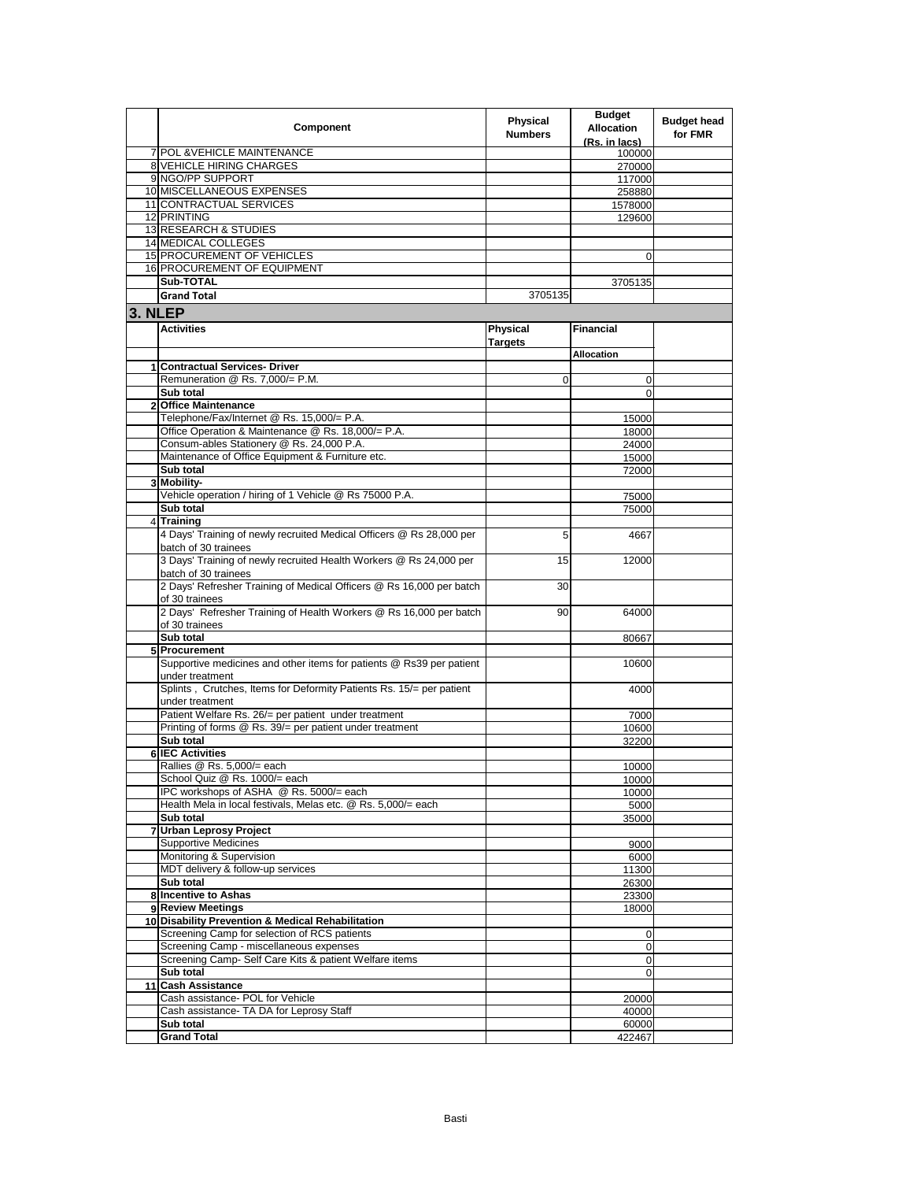|         | Component                                                            | <b>Physical</b><br><b>Numbers</b> | <b>Budget</b><br><b>Allocation</b><br>(Rs. in lacs) | <b>Budget head</b><br>for FMR |
|---------|----------------------------------------------------------------------|-----------------------------------|-----------------------------------------------------|-------------------------------|
|         | 7 POL & VEHICLE MAINTENANCE                                          |                                   | 100000                                              |                               |
|         | <b>8 VEHICLE HIRING CHARGES</b>                                      |                                   | 270000                                              |                               |
|         | 9 NGO/PP SUPPORT                                                     |                                   | 117000                                              |                               |
|         | 10 MISCELLANEOUS EXPENSES                                            |                                   | 258880                                              |                               |
|         | 11 CONTRACTUAL SERVICES                                              |                                   | 1578000                                             |                               |
|         | 12 PRINTING                                                          |                                   | 129600                                              |                               |
|         | 13 RESEARCH & STUDIES<br>14 MEDICAL COLLEGES                         |                                   |                                                     |                               |
|         | <b>15 PROCUREMENT OF VEHICLES</b>                                    |                                   |                                                     |                               |
|         | 16 PROCUREMENT OF EQUIPMENT                                          |                                   | 0                                                   |                               |
|         | Sub-TOTAL                                                            |                                   | 3705135                                             |                               |
|         | <b>Grand Total</b>                                                   | 3705135                           |                                                     |                               |
|         |                                                                      |                                   |                                                     |                               |
| 3. NLEP |                                                                      |                                   |                                                     |                               |
|         | <b>Activities</b>                                                    | <b>Physical</b>                   | <b>Financial</b>                                    |                               |
|         |                                                                      | Targets                           |                                                     |                               |
|         |                                                                      |                                   | <b>Allocation</b>                                   |                               |
|         | 1 Contractual Services- Driver<br>Remuneration @ Rs. 7,000/= P.M.    |                                   |                                                     |                               |
|         | Sub total                                                            | 0                                 | 0<br>$\Omega$                                       |                               |
|         | 2 Office Maintenance                                                 |                                   |                                                     |                               |
|         | Telephone/Fax/Internet @ Rs. 15,000/= P.A.                           |                                   | 15000                                               |                               |
|         | Office Operation & Maintenance @ Rs. 18,000/= P.A.                   |                                   | 18000                                               |                               |
|         | Consum-ables Stationery @ Rs. 24,000 P.A.                            |                                   | 24000                                               |                               |
|         | Maintenance of Office Equipment & Furniture etc.                     |                                   | 15000                                               |                               |
|         | Sub total                                                            |                                   | 72000                                               |                               |
|         | 3 Mobility-                                                          |                                   |                                                     |                               |
|         | Vehicle operation / hiring of 1 Vehicle @ Rs 75000 P.A.              |                                   | 75000                                               |                               |
|         | Sub total                                                            |                                   | 75000                                               |                               |
| 4       | <b>Training</b>                                                      |                                   |                                                     |                               |
|         | 4 Days' Training of newly recruited Medical Officers @ Rs 28,000 per | 5                                 | 4667                                                |                               |
|         | batch of 30 trainees                                                 |                                   |                                                     |                               |
|         | 3 Days' Training of newly recruited Health Workers @ Rs 24,000 per   | 15                                | 12000                                               |                               |
|         | batch of 30 trainees                                                 |                                   |                                                     |                               |
|         | 2 Days' Refresher Training of Medical Officers @ Rs 16,000 per batch | 30                                |                                                     |                               |
|         | of 30 trainees                                                       |                                   |                                                     |                               |
|         | 2 Days' Refresher Training of Health Workers @ Rs 16,000 per batch   | 90                                | 64000                                               |                               |
|         | of 30 trainees<br>Sub total                                          |                                   |                                                     |                               |
|         | 5 Procurement                                                        |                                   | 80667                                               |                               |
|         | Supportive medicines and other items for patients @ Rs39 per patient |                                   | 10600                                               |                               |
|         | under treatment                                                      |                                   |                                                     |                               |
|         | Splints, Crutches, Items for Deformity Patients Rs. 15/= per patient |                                   | 4000                                                |                               |
|         | under treatment                                                      |                                   |                                                     |                               |
|         | Patient Welfare Rs. 26/= per patient under treatment                 |                                   | 7000                                                |                               |
|         | Printing of forms @ Rs. 39/= per patient under treatment             |                                   | 10600                                               |                               |
|         | Sub total                                                            |                                   | 32200                                               |                               |
|         | <b>6 IEC Activities</b>                                              |                                   |                                                     |                               |
|         | Rallies @ Rs. 5,000/= each                                           |                                   | 10000                                               |                               |
|         | School Quiz @ Rs. 1000/= each                                        |                                   | 10000                                               |                               |
|         | IPC workshops of ASHA @ Rs. 5000/= each                              |                                   | 10000                                               |                               |
|         | Health Mela in local festivals, Melas etc. @ Rs. 5,000/= each        |                                   | 5000                                                |                               |
|         | Sub total                                                            |                                   | 35000                                               |                               |
| 7       | <b>Urban Leprosy Project</b><br><b>Supportive Medicines</b>          |                                   |                                                     |                               |
|         | Monitoring & Supervision                                             |                                   | 9000<br>6000                                        |                               |
|         | MDT delivery & follow-up services                                    |                                   | 11300                                               |                               |
|         | Sub total                                                            |                                   | 26300                                               |                               |
|         | 8 Incentive to Ashas                                                 |                                   | 23300                                               |                               |
|         | 9 Review Meetings                                                    |                                   | 18000                                               |                               |
|         | 10 Disability Prevention & Medical Rehabilitation                    |                                   |                                                     |                               |
|         | Screening Camp for selection of RCS patients                         |                                   | 0                                                   |                               |
|         | Screening Camp - miscellaneous expenses                              |                                   | 0                                                   |                               |
|         | Screening Camp- Self Care Kits & patient Welfare items               |                                   | 0                                                   |                               |
|         | Sub total                                                            |                                   | 0                                                   |                               |
| 11      | <b>Cash Assistance</b>                                               |                                   |                                                     |                               |
|         | Cash assistance- POL for Vehicle                                     |                                   | 20000                                               |                               |
|         | Cash assistance- TA DA for Leprosy Staff                             |                                   | 40000                                               |                               |
|         | Sub total<br><b>Grand Total</b>                                      |                                   | 60000                                               |                               |
|         |                                                                      |                                   | 422467                                              |                               |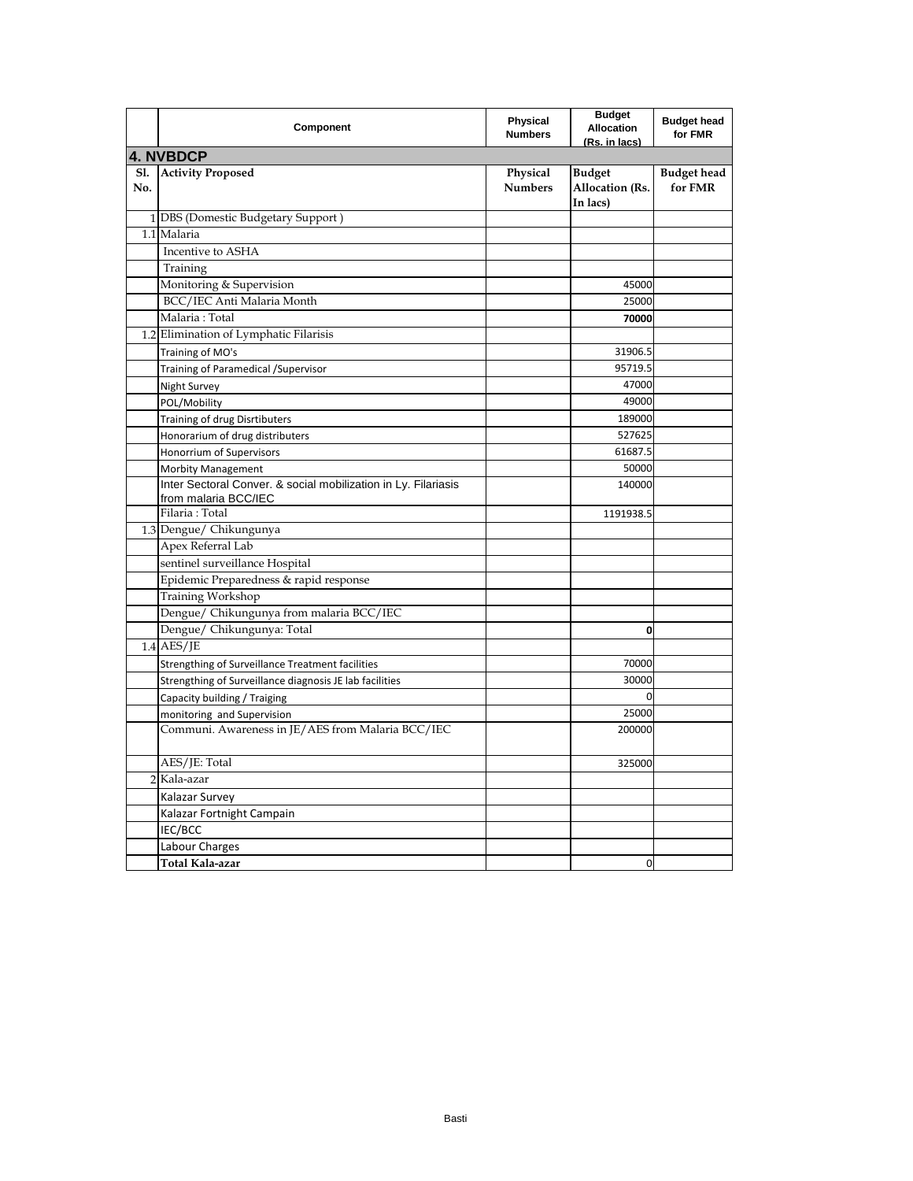|                   | Component                                                                              | Physical<br><b>Numbers</b> | <b>Budget</b><br><b>Allocation</b><br>(Rs. in lacs) | <b>Budget head</b><br>for FMR |
|-------------------|----------------------------------------------------------------------------------------|----------------------------|-----------------------------------------------------|-------------------------------|
|                   | <b>4. NVBDCP</b>                                                                       |                            |                                                     |                               |
| <b>Sl.</b><br>No. | <b>Activity Proposed</b>                                                               | Physical<br><b>Numbers</b> | <b>Budget</b><br>Allocation (Rs.<br>In lacs)        | <b>Budget head</b><br>for FMR |
|                   | 1 DBS (Domestic Budgetary Support)                                                     |                            |                                                     |                               |
|                   | 1.1 Malaria                                                                            |                            |                                                     |                               |
|                   | Incentive to ASHA                                                                      |                            |                                                     |                               |
|                   | Training                                                                               |                            |                                                     |                               |
|                   | Monitoring & Supervision                                                               |                            | 45000                                               |                               |
|                   | BCC/IEC Anti Malaria Month                                                             |                            | 25000                                               |                               |
|                   | Malaria: Total                                                                         |                            | 70000                                               |                               |
|                   | 1.2 Elimination of Lymphatic Filarisis                                                 |                            |                                                     |                               |
|                   | Training of MO's                                                                       |                            | 31906.5                                             |                               |
|                   | Training of Paramedical / Supervisor                                                   |                            | 95719.5                                             |                               |
|                   | Night Survey                                                                           |                            | 47000                                               |                               |
|                   | POL/Mobility                                                                           |                            | 49000                                               |                               |
|                   | Training of drug Disrtibuters                                                          |                            | 189000                                              |                               |
|                   | Honorarium of drug distributers                                                        |                            | 527625                                              |                               |
|                   | Honorrium of Supervisors                                                               |                            | 61687.5                                             |                               |
|                   | <b>Morbity Management</b>                                                              |                            | 50000                                               |                               |
|                   | Inter Sectoral Conver. & social mobilization in Ly. Filariasis<br>from malaria BCC/IEC |                            | 140000                                              |                               |
|                   | Filaria: Total                                                                         |                            | 1191938.5                                           |                               |
|                   | 1.3 Dengue/ Chikungunya                                                                |                            |                                                     |                               |
|                   | Apex Referral Lab                                                                      |                            |                                                     |                               |
|                   | sentinel surveillance Hospital                                                         |                            |                                                     |                               |
|                   | Epidemic Preparedness & rapid response                                                 |                            |                                                     |                               |
|                   | Training Workshop                                                                      |                            |                                                     |                               |
|                   | Dengue/ Chikungunya from malaria BCC/IEC                                               |                            |                                                     |                               |
|                   | Dengue/ Chikungunya: Total                                                             |                            | 0                                                   |                               |
|                   | $1.4$ AES/JE                                                                           |                            |                                                     |                               |
|                   | Strengthing of Surveillance Treatment facilities                                       |                            | 70000                                               |                               |
|                   | Strengthing of Surveillance diagnosis JE lab facilities                                |                            | 30000                                               |                               |
|                   | Capacity building / Traiging                                                           |                            | 0                                                   |                               |
|                   | monitoring and Supervision                                                             |                            | 25000                                               |                               |
|                   | Communi. Awareness in JE/AES from Malaria BCC/IEC                                      |                            | 200000                                              |                               |
|                   | AES/JE: Total                                                                          |                            | 325000                                              |                               |
|                   | 2 Kala-azar                                                                            |                            |                                                     |                               |
|                   | Kalazar Survey                                                                         |                            |                                                     |                               |
|                   | Kalazar Fortnight Campain                                                              |                            |                                                     |                               |
|                   | IEC/BCC                                                                                |                            |                                                     |                               |
|                   | Labour Charges                                                                         |                            |                                                     |                               |
|                   | Total Kala-azar                                                                        |                            | 0                                                   |                               |